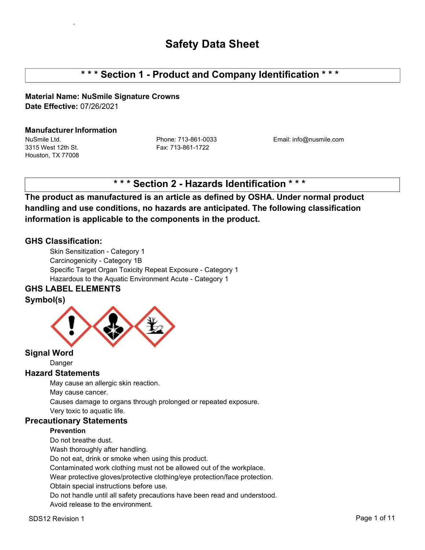# **\* \* \* Section 1 - Product and Company Identification \* \* \***

**Material Name: NuSmile Signature Crowns Date Effective:** 07/26/2021

#### **Manufacturer Information**

3315 West 12th St. Fax: 713-861-1722 Houston, TX 77008

NuSmile Ltd. Phone: 713-861-0033 Email: info@nusmile.com

# **\* \* \* Section 2 - Hazards Identification \* \* \***

**The product as manufactured is an article as defined by OSHA. Under normal product handling and use conditions, no hazards are anticipated. The following classification information is applicable to the components in the product.**

#### **GHS Classification:**

Skin Sensitization - Category 1 Carcinogenicity - Category 1B Specific Target Organ Toxicity Repeat Exposure - Category 1 Hazardous to the Aquatic Environment Acute - Category 1

## **GHS LABEL ELEMENTS**

#### **Symbol(s)**



#### **Signal Word**

Danger

#### **Hazard Statements**

May cause an allergic skin reaction.

May cause cancer.

Causes damage to organs through prolonged or repeated exposure.

Very toxic to aquatic life.

#### **Precautionary Statements**

#### **Prevention**

Do not breathe dust.

Wash thoroughly after handling.

Do not eat, drink or smoke when using this product.

Contaminated work clothing must not be allowed out of the workplace.

Wear protective gloves/protective clothing/eye protection/face protection.

Obtain special instructions before use.

Do not handle until all safety precautions have been read and understood. Avoid release to the environment.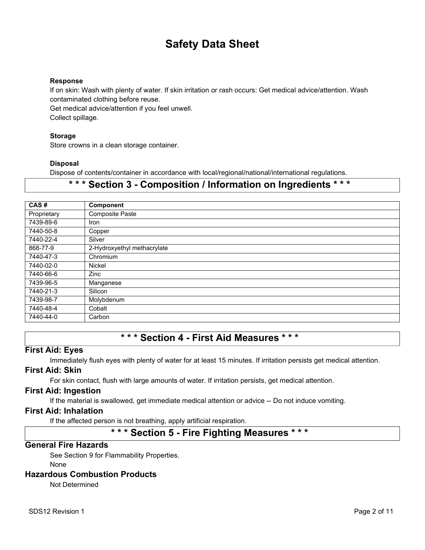#### **Response**

If on skin: Wash with plenty of water. If skin irritation or rash occurs: Get medical advice/attention. Wash contaminated clothing before reuse.

Get medical advice/attention if you feel unwell. Collect spillage.

#### **Storage**

Store crowns in a clean storage container.

#### **Disposal**

Dispose of contents/container in accordance with local/regional/national/international regulations.

## **\* \* \* Section 3 - Composition / Information on Ingredients \* \* \***

| CAS#        | <b>Component</b>            |
|-------------|-----------------------------|
| Proprietary | Composite Paste             |
| 7439-89-6   | Iron                        |
| 7440-50-8   | Copper                      |
| 7440-22-4   | Silver                      |
| 868-77-9    | 2-Hydroxyethyl methacrylate |
| 7440-47-3   | Chromium                    |
| 7440-02-0   | <b>Nickel</b>               |
| 7440-66-6   | Zinc                        |
| 7439-96-5   | Manganese                   |
| 7440-21-3   | Silicon                     |
| 7439-98-7   | Molybdenum                  |
| 7440-48-4   | Cobalt                      |
| 7440-44-0   | Carbon                      |

# **\* \* \* Section 4 - First Aid Measures \* \* \***

#### **First Aid: Eyes**

Immediately flush eyes with plenty of water for at least 15 minutes. If irritation persists get medical attention.

#### **First Aid: Skin**

For skin contact, flush with large amounts of water. If irritation persists, get medical attention.

#### **First Aid: Ingestion**

If the material is swallowed, get immediate medical attention or advice -- Do not induce vomiting.

#### **First Aid: Inhalation**

If the affected person is not breathing, apply artificial respiration.

## **\* \* \* Section 5 - Fire Fighting Measures \* \* \***

#### **General Fire Hazards**

See Section 9 for Flammability Properties.

None

#### **Hazardous Combustion Products**

Not Determined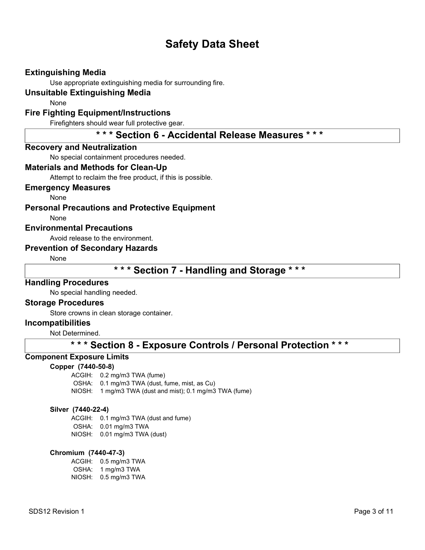#### **Extinguishing Media**

Use appropriate extinguishing media for surrounding fire.

#### **Unsuitable Extinguishing Media**

None

#### **Fire Fighting Equipment/Instructions**

Firefighters should wear full protective gear.

**\* \* \* Section 6 - Accidental Release Measures \* \* \***

#### **Recovery and Neutralization**

No special containment procedures needed.

#### **Materials and Methods for Clean-Up**

Attempt to reclaim the free product, if this is possible.

#### **Emergency Measures**

None

**Personal Precautions and Protective Equipment**

None

#### **Environmental Precautions**

Avoid release to the environment.

#### **Prevention of Secondary Hazards**

None

**\* \* \* Section 7 - Handling and Storage \* \* \***

#### **Handling Procedures**

No special handling needed.

#### **Storage Procedures**

Store crowns in clean storage container.

#### **Incompatibilities**

Not Determined.

## **\* \* \* Section 8 - Exposure Controls / Personal Protection \* \* \***

#### **Component Exposure Limits**

#### **Copper (7440-50-8)**

ACGIH: 0.2 mg/m3 TWA (fume)

- OSHA: 0.1 mg/m3 TWA (dust, fume, mist, as Cu)
- NIOSH: 1 mg/m3 TWA (dust and mist); 0.1 mg/m3 TWA (fume)

#### **Silver (7440-22-4)**

ACGIH: 0.1 mg/m3 TWA (dust and fume) OSHA: 0.01 mg/m3 TWA NIOSH: 0.01 mg/m3 TWA (dust)

#### **Chromium (7440-47-3)**

ACGIH: 0.5 mg/m3 TWA OSHA: 1 mg/m3 TWA NIOSH: 0.5 mg/m3 TWA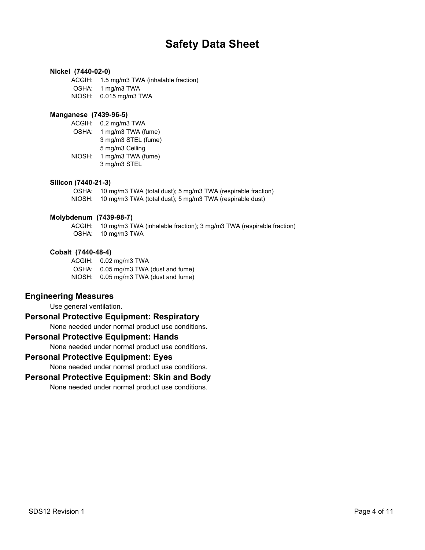#### **Nickel (7440-02-0)**

ACGIH: 1.5 mg/m3 TWA (inhalable fraction) OSHA: 1 mg/m3 TWA NIOSH: 0.015 mg/m3 TWA

#### **Manganese (7439-96-5)**

ACGIH: 0.2 mg/m3 TWA OSHA: 1 mg/m3 TWA (fume) 3 mg/m3 STEL (fume) 5 mg/m3 Ceiling NIOSH: 1 mg/m3 TWA (fume) 3 mg/m3 STEL

#### **Silicon (7440-21-3)**

OSHA: 10 mg/m3 TWA (total dust); 5 mg/m3 TWA (respirable fraction) NIOSH: 10 mg/m3 TWA (total dust); 5 mg/m3 TWA (respirable dust)

#### **Molybdenum (7439-98-7)**

ACGIH: 10 mg/m3 TWA (inhalable fraction); 3 mg/m3 TWA (respirable fraction) OSHA: 10 mg/m3 TWA

#### **Cobalt (7440-48-4)**

ACGIH: 0.02 mg/m3 TWA OSHA: 0.05 mg/m3 TWA (dust and fume) NIOSH: 0.05 mg/m3 TWA (dust and fume)

#### **Engineering Measures**

Use general ventilation.

#### **Personal Protective Equipment: Respiratory**

None needed under normal product use conditions.

#### **Personal Protective Equipment: Hands**

None needed under normal product use conditions.

#### **Personal Protective Equipment: Eyes**

None needed under normal product use conditions.

#### **Personal Protective Equipment: Skin and Body**

None needed under normal product use conditions.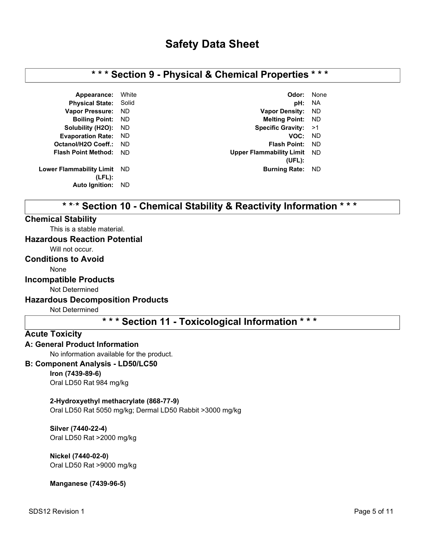## **\* \* \* Section 9 - Physical & Chemical Properties \* \* \***

**Lower Flammability Limit (LFL): Auto Ignition:** ND

**Appearance:** White **Odor:** None **Physical State:** Solid **pH:** NA **Vapor Pressure:** ND **Vapor Density:** ND **Boiling Point:** ND **Melting Point:** ND **Solubility (H2O):** ND **Specific Gravity:** >1 **Evaporation Rate:** ND **VOC:** ND **Octanol/H2O Coeff.:** ND **Flash Point:** ND **Flash Point Method:** ND **Upper Flammability Limit** ND **(UFL): Burning Rate: ND** 

# **\* \* \* Section 10 - Chemical Stability & Reactivity Information \* \* \***

#### **Chemical Stability**

This is a stable material.

### **Hazardous Reaction Potential**

Will not occur.

#### **Conditions to Avoid**

None

#### **Incompatible Products**

Not Determined

#### **Hazardous Decomposition Products**

Not Determined

## **\* \* \* Section 11 - Toxicological Information \* \* \***

#### **Acute Toxicity**

#### **A: General Product Information**

No information available for the product.

#### **B: Component Analysis - LD50/LC50**

#### **Iron (7439-89-6)**

Oral LD50 Rat 984 mg/kg

#### **2-Hydroxyethyl methacrylate (868-77-9)**

Oral LD50 Rat 5050 mg/kg; Dermal LD50 Rabbit >3000 mg/kg

**Silver (7440-22-4)** Oral LD50 Rat >2000 mg/kg

### **Nickel (7440-02-0)**

Oral LD50 Rat >9000 mg/kg

**Manganese (7439-96-5)**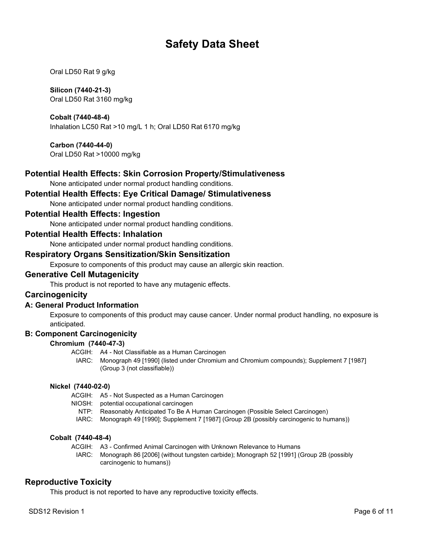Oral LD50 Rat 9 g/kg

#### **Silicon (7440-21-3)**

Oral LD50 Rat 3160 mg/kg

#### **Cobalt (7440-48-4)**

Inhalation LC50 Rat >10 mg/L 1 h; Oral LD50 Rat 6170 mg/kg

#### **Carbon (7440-44-0)**

Oral LD50 Rat >10000 mg/kg

#### **Potential Health Effects: Skin Corrosion Property/Stimulativeness**

None anticipated under normal product handling conditions.

#### **Potential Health Effects: Eye Critical Damage/ Stimulativeness**

None anticipated under normal product handling conditions.

#### **Potential Health Effects: Ingestion**

None anticipated under normal product handling conditions.

#### **Potential Health Effects: Inhalation**

None anticipated under normal product handling conditions.

#### **Respiratory Organs Sensitization/Skin Sensitization**

Exposure to components of this product may cause an allergic skin reaction.

#### **Generative Cell Mutagenicity**

This product is not reported to have any mutagenic effects.

#### **Carcinogenicity**

#### **A: General Product Information**

Exposure to components of this product may cause cancer. Under normal product handling, no exposure is anticipated.

#### **B: Component Carcinogenicity**

#### **Chromium (7440-47-3)**

- ACGIH: A4 Not Classifiable as a Human Carcinogen
	- IARC: Monograph 49 [1990] (listed under Chromium and Chromium compounds); Supplement 7 [1987] (Group 3 (not classifiable))

#### **Nickel (7440-02-0)**

ACGIH: A5 - Not Suspected as a Human Carcinogen

NIOSH: potential occupational carcinogen

- NTP: Reasonably Anticipated To Be A Human Carcinogen (Possible Select Carcinogen)
- IARC: Monograph 49 [1990]; Supplement 7 [1987] (Group 2B (possibly carcinogenic to humans))

#### **Cobalt (7440-48-4)**

- ACGIH: A3 Confirmed Animal Carcinogen with Unknown Relevance to Humans
- IARC: Monograph 86 [2006] (without tungsten carbide); Monograph 52 [1991] (Group 2B (possibly carcinogenic to humans))

#### **Reproductive Toxicity**

This product is not reported to have any reproductive toxicity effects.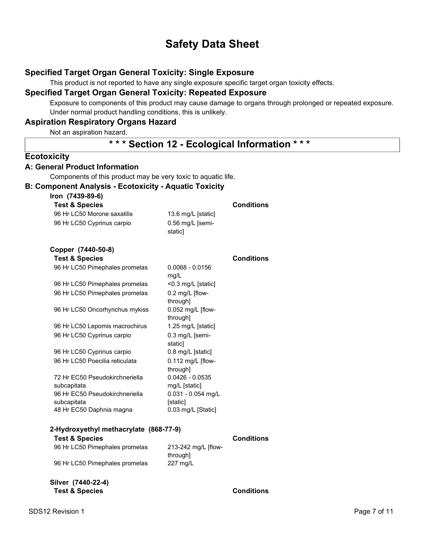#### **Specified Target Organ General Toxicity: Single Exposure**

This product is not reported to have any single exposure specific target organ toxicity effects.

#### **Specified Target Organ General Toxicity: Repeated Exposure**

Exposure to components of this product may cause damage to organs through prolonged or repeated exposure. Under normal product handling conditions, this is unlikely.

### **Aspiration Respiratory Organs Hazard**

Not an aspiration hazard.

## **\* \* \* Section 12 - Ecological Information \* \* \***

#### **Ecotoxicity**

#### **A: General Product Information**

Components of this product may be very toxic to aquatic life.

#### **B: Component Analysis - Ecotoxicity - Aquatic Toxicity**

#### **Iron (7439-89-6)**

| <b>Test &amp; Species</b>   |                    | <b>Conditions</b> |
|-----------------------------|--------------------|-------------------|
| 96 Hr LC50 Morone saxatilis | 13.6 mg/L [static] |                   |
| 96 Hr LC50 Cyprinus carpio  | $0.56$ mg/L [semi- |                   |
|                             | staticl            |                   |

#### **Copper (7440-50-8)**

| Test & Species                                |                                       | Conditions |
|-----------------------------------------------|---------------------------------------|------------|
| 96 Hr LC50 Pimephales promelas                | $0.0068 - 0.0156$<br>mg/L             |            |
| 96 Hr LC50 Pimephales promelas                | $<$ 0.3 mg/L [static]                 |            |
| 96 Hr LC50 Pimephales promelas                | $0.2 \text{ mg/L}$ [flow-<br>through] |            |
| 96 Hr LC50 Oncorhynchus mykiss                | $0.052$ mg/L [flow-<br>through]       |            |
| 96 Hr LC50 Lepomis macrochirus                | 1.25 mg/L [static]                    |            |
| 96 Hr LC50 Cyprinus carpio                    | $0.3$ mg/L [semi-<br>static]          |            |
| 96 Hr LC50 Cyprinus carpio                    | $0.8 \text{ mg/L}$ [static]           |            |
| 96 Hr LC50 Poecilia reticulata                | 0.112 mg/L [flow-<br>through]         |            |
| 72 Hr EC50 Pseudokirchneriella<br>subcapitata | $0.0426 - 0.0535$<br>mg/L [static]    |            |
| 96 Hr EC50 Pseudokirchneriella<br>subcapitata | $0.031 - 0.054$ mg/L<br>[static]      |            |
| 48 Hr EC50 Daphnia magna                      | 0.03 mg/L [Static]                    |            |

#### **2-Hydroxyethyl methacrylate (868-77-9)**

| <b>Test &amp; Species</b>      |                     | <b>Conditions</b> |
|--------------------------------|---------------------|-------------------|
| 96 Hr LC50 Pimephales promelas | 213-242 mg/L [flow- |                   |
|                                | through]            |                   |
| 96 Hr LC50 Pimephales promelas | $227 \text{ mq/L}$  |                   |
|                                |                     |                   |

#### **Silver (7440-22-4) Test & Species Conditions**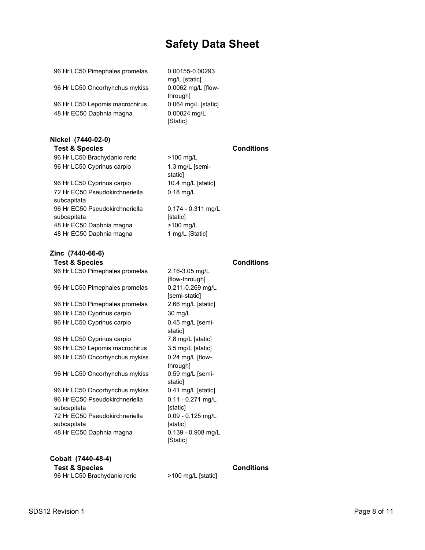96 Hr LC50 Pimephales promelas 0.00155-0.00293

96 Hr LC50 Oncorhynchus mykiss 0.0062 mg/L [flow-

96 Hr LC50 Lepomis macrochirus 0.064 mg/L [static] 48 Hr EC50 Daphnia magna 0.00024 mg/L

#### **Nickel (7440-02-0) Test & Species Conditions**

96 Hr LC50 Brachydanio rerio >100 mg/L 96 Hr LC50 Cyprinus carpio 1.3 mg/L [semi-

96 Hr LC50 Cyprinus carpio 10.4 mg/L [static] 72 Hr EC50 Pseudokirchneriella subcapitata 96 Hr EC50 Pseudokirchneriella subcapitata 48 Hr EC50 Daphnia magna >100 mg/L 48 Hr EC50 Daphnia magna 1 mg/L [Static]

#### **Zinc (7440-66-6) Test & Species Conditions**

96 Hr LC50 Pimephales promelas 2.16-3.05 mg/L 96 Hr LC50 Pimephales promelas 0.211-0.269 mg/L 96 Hr LC50 Pimephales promelas 2.66 mg/L [static] 96 Hr LC50 Cyprinus carpio 30 mg/L 96 Hr LC50 Cyprinus carpio 0.45 mg/L [semi-96 Hr LC50 Cyprinus carpio 7.8 mg/L [static] 96 Hr LC50 Lepomis macrochirus 3.5 mg/L [static] 96 Hr LC50 Oncorhynchus mykiss 0.24 mg/L [flow-96 Hr LC50 Oncorhynchus mykiss 0.59 mg/L [semi-96 Hr LC50 Oncorhynchus mykiss 0.41 mg/L [static]

96 Hr EC50 Pseudokirchneriella subcapitata 72 Hr EC50 Pseudokirchneriella subcapitata 48 Hr EC50 Daphnia magna 0.139 - 0.908 mg/L

mg/L [static] through] [Static]

static] 0.18 mg/L

0.174 - 0.311 mg/L [static]

[flow-through] [semi-static] static] through] static] 0.11 - 0.271 mg/L [static] 0.09 - 0.125 mg/L [static] [Static]

#### **Cobalt (7440-48-4)**

| <b>Test &amp; Species</b>    |  |
|------------------------------|--|
| 96 Hr LC50 Brachydanio rerio |  |

>100 mg/L [static]

**Conditions**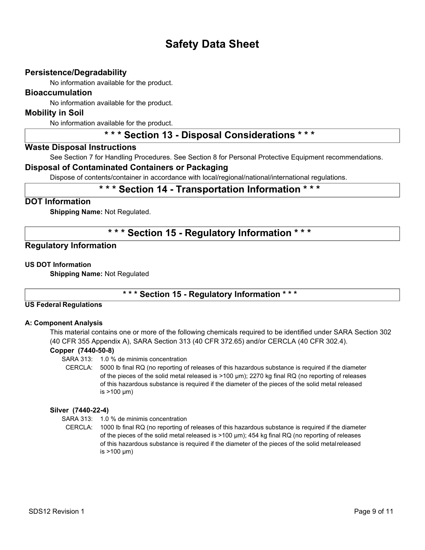#### **Persistence/Degradability**

No information available for the product.

#### **Bioaccumulation**

No information available for the product.

#### **Mobility in Soil**

No information available for the product.

# **\* \* \* Section 13 - Disposal Considerations \* \* \***

#### **Waste Disposal Instructions**

See Section 7 for Handling Procedures. See Section 8 for Personal Protective Equipment recommendations.

#### **Disposal of Contaminated Containers or Packaging**

Dispose of contents/container in accordance with local/regional/national/international regulations.

## **\* \* \* Section 14 - Transportation Information \* \* \***

#### **DOT Information**

**Shipping Name:** Not Regulated.

## **\* \* \* Section 15 - Regulatory Information \* \* \***

#### **Regulatory Information**

#### **US DOT Information**

**Shipping Name:** Not Regulated

#### **\* \* \* Section 15 - Regulatory Information \* \* \***

#### **US Federal Regulations**

#### **A: Component Analysis**

This material contains one or more of the following chemicals required to be identified under SARA Section 302 (40 CFR 355 Appendix A), SARA Section 313 (40 CFR 372.65) and/or CERCLA (40 CFR 302.4).

#### **Copper (7440-50-8)**

- SARA 313: 1.0 % de minimis concentration
- CERCLA: 5000 lb final RQ (no reporting of releases of this hazardous substance is required if the diameter of the pieces of the solid metal released is >100 µm); 2270 kg final RQ (no reporting of releases of this hazardous substance is required if the diameter of the pieces of the solid metal released is  $>100 \mu m$ )

#### **Silver (7440-22-4)**

- SARA 313: 1.0 % de minimis concentration
- CERCLA: 1000 lb final RQ (no reporting of releases of this hazardous substance is required if the diameter of the pieces of the solid metal released is >100 µm); 454 kg final RQ (no reporting of releases of this hazardous substance is required if the diameter of the pieces of the solid metalreleased is >100 µm)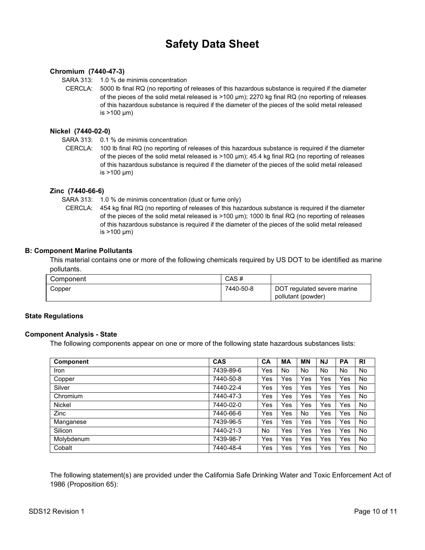#### **Chromium (7440-47-3)**

SARA 313: 1.0 % de minimis concentration

CERCLA: 5000 lb final RQ (no reporting of releases of this hazardous substance is required if the diameter of the pieces of the solid metal released is >100 µm); 2270 kg final RQ (no reporting of releases of this hazardous substance is required if the diameter of the pieces of the solid metal released is >100 µm)

#### **Nickel (7440-02-0)**

- SARA 313: 0.1 % de minimis concentration
- CERCLA: 100 lb final RQ (no reporting of releases of this hazardous substance is required if the diameter of the pieces of the solid metal released is >100 µm); 45.4 kg final RQ (no reporting of releases of this hazardous substance is required if the diameter of the pieces of the solid metal released is >100 µm)

#### **Zinc (7440-66-6)**

SARA 313: 1.0 % de minimis concentration (dust or fume only)

CERCLA: 454 kg final RQ (no reporting of releases of this hazardous substance is required if the diameter of the pieces of the solid metal released is >100 µm); 1000 lb final RQ (no reporting of releases of this hazardous substance is required if the diameter of the pieces of the solid metal released is >100 µm)

#### **B: Component Marine Pollutants**

This material contains one or more of the following chemicals required by US DOT to be identified as marine pollutants.

| Component | CAS#      |                                                   |
|-----------|-----------|---------------------------------------------------|
| Copper    | 7440-50-8 | DOT regulated severe marine<br>pollutant (powder) |

#### **State Regulations**

#### **Component Analysis - State**

The following components appear on one or more of the following state hazardous substances lists:

| <b>Component</b> | <b>CAS</b> | CA  | MА  | <b>MN</b> | <b>NJ</b> | <b>PA</b> | R <sub>l</sub> |
|------------------|------------|-----|-----|-----------|-----------|-----------|----------------|
| <b>Iron</b>      | 7439-89-6  | Yes | No  | No        | No        | <b>No</b> | No             |
| Copper           | 7440-50-8  | Yes | Yes | Yes       | Yes       | Yes       | <b>No</b>      |
| Silver           | 7440-22-4  | Yes | Yes | Yes       | Yes       | Yes       | <b>No</b>      |
| Chromium         | 7440-47-3  | Yes | Yes | Yes       | Yes       | Yes       | <b>No</b>      |
| Nickel           | 7440-02-0  | Yes | Yes | Yes       | Yes       | Yes       | <b>No</b>      |
| <b>Zinc</b>      | 7440-66-6  | Yes | Yes | No        | Yes       | Yes       | <b>No</b>      |
| Manganese        | 7439-96-5  | Yes | Yes | Yes       | Yes       | Yes       | <b>No</b>      |
| Silicon          | 7440-21-3  | No  | Yes | Yes       | Yes       | Yes       | <b>No</b>      |
| Molybdenum       | 7439-98-7  | Yes | Yes | Yes       | Yes       | Yes       | <b>No</b>      |
| Cobalt           | 7440-48-4  | Yes | Yes | Yes       | Yes       | Yes       | No             |

The following statement(s) are provided under the California Safe Drinking Water and Toxic Enforcement Act of 1986 (Proposition 65):